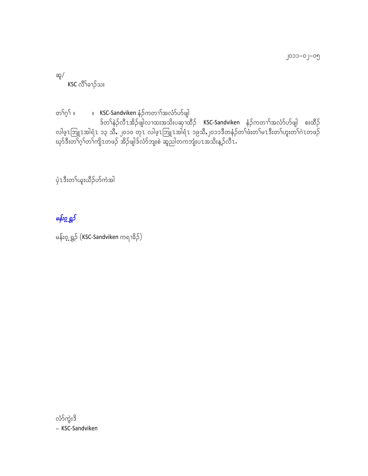၂၀၁၁–၀၂–၀၅

ဆူ $/$  $KSC$ လိ<sup>ု</sup>ခၢဉ်သး

w>f\*h>f ? ? KSC‐Sandviken eH.fuw>>ftvHmfymfzsg ဒ်တၫ်နဲဉ်လီၤအိဉ်ဖျ်လၢထးအသိးပဆုၢထိဉ် KSC‐Sandviken နံဉ်ကတၢၢ်အလံာ်ဟ်ဖျါ စးထိဉ် လါဖ့ၤဘြူၤအါရံၤ ၁၃ သိ, ၂၀၁၀ တုၤ လါဖ့ၤဘြူၤအါရံၤ ၁၉သိ,၂၀၁၁ဒိတန်ဉ်တၤ်ဖီးတၤ်မၤဒီးတၤ်ဟူးတၤ်ဂဲၤတဖဉ် ဃု၁်ဒီးတၢဂ္Tတၢကျိၤတဖဉ် အိဉ်ဖျါဒ်လိာဘျးစဲ ဆူညါတကဘျံးပၤအသိးန့ဉ်လီၤ.

 $\grave{\mathrm{p}}$ zဒီးတ<sup>5</sup>ယူးယိဉ်ဟ်ကဲအါ

# $\theta$ န်းဂ္က ရွ $\delta$

မန်း၀့္မရွဉ် (KSC-Sandviken ကရၫ<sup>္ဌ</sup>ဉ်)

လံာ်ကွဲးဒိ = KSC‐Sandviken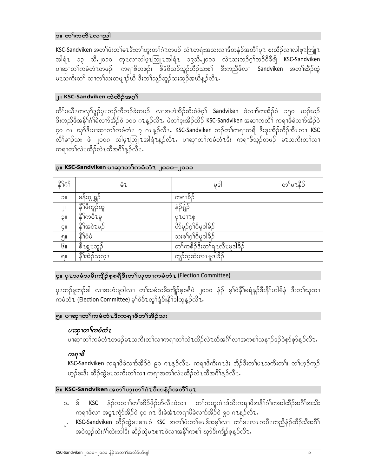#### ၁။ တ<sup>5</sup>ကတိၤလၢညါ

KSC-Sandviken အတၫ်ဖံးတၫ်မ႗ဒီးတၫ်ဟူးတၫ်ဂဲ႗တဖဉ် လဲ႗တရံးအသးလ႑ဒီတနံဉ်အတိၢ်ပူ႗ စးထိဉ်လ႑လါဖ္႗ဘြူ႗ အါရံၤ ၁၃ သိ,၂၀၁၀ တုၤလၢလါဖူၤဘြူၤအါရံၤ ၁၉သိ,၂၀၁၁ လဲၤသးဘဉ်ဂ္ဂါဘဉ်၀ီခ်ီဖျိ KSC-Sandviken ပၢဆုၫတၢ်ကမံတံၤတဖဉ်၊ ကရၫဖိတဖဉ်၊ ဖိဒံဖိသဉ်သူဉ်ဘိဉ်သးစ<sup>ြ</sup> ဒီးကညီဖိလ႑ Sandviken အတ<sup>ြ</sup>ဆိဉ်ထွဲ မၤသကိႏတ႑် လၢတၫ်သးတဖျာဉ်ဃီ ဒီးတၢ်သူဉ်ဆူဉ်သးဆူဉ်အဃိန္ဉာ်လီၤ.

#### ျ။ KSC-Sandviken ကဲထီဉ်အဂ္ဂ<sup>S</sup>

ကိ်ၤ်ပယီၤကလုာ်ဒူဉ်ပုၤဘဉ်ကီဘဉ်ခဲတဖဉ် လၢအဟဲအိဉ်ဆိးဝဲဖဲဝ့<sup>၎</sup> Sandviken ခဲလ<sup>ှ</sup>ာ်ကအိဉ်ဝဲ ၁၅၀ ဃဉ်ဃဉ် ဒီးကညီဖိအနိ<sup>5</sup>င်္ဂါခဲလက်အိဉ်ဝဲ ၁၀၀ ဂၤန္ ဉ်လီၤ. ဖဲတ<sup>န</sup>ဒုအိဉ်ထိဉ် KSC-Sandviken အဆ႑ကတိ််၊ ကရ႑ဖိခဲလက်အိဉ်ဝဲ ၄၀ ဂၤ ဃှာ်ဒီးပၫဆုၫတၫ်ကမံတံၤ ၇ ဂၤန္ ဉ်လီၤ. KSC-Sandviken ဘဉ်တၫ်ကရၫကရိ ဒီးဒုးအိဉ်ထိဉ်အီၤလ႑ KSC လိ်ၤ်ခၢဉ်သး ဖဲ ၂၀၀၈ လါဖူၤဘြူၤအါရံၤန္ဥ်လီၤႉ ပၢဆုၢတၤ်ကမံတံၤဒီး ကရၢဖိသူဉ်တဖဉ် မၤသကိႏတၤ်လၤ ကရၢတၫ်လဲၤထီဉ်လဲၤထီအဂိၢ်န္ ဉ်လီၤ.

| <b>รา</b> ๋ว่า             | ůι                               | မှုဒါ                            | တ်မားနိဉ် |
|----------------------------|----------------------------------|----------------------------------|-----------|
| 10C                        | မန်း၀့္မရွဉ်                     | ကရာဓိဉ်                          |           |
| $\mathsf{J}^{\mathsf{II}}$ | <u>န်<sup>ဒို</sup>ဖိ</u> ကှဉ်ထူ | နဲဉ်ရွဲဉ်                        |           |
| IIC                        | နိ <sup>ုင်</sup> ကပီၤမှု        | QZ01ZO                           |           |
| ÇII                        | နိ <sup>ု</sup> အငဲၤမဉ်          | ပိႆာမှဉ်ဂုၢိဳမှုဒါနိဉ်           |           |
| ၅။                         | နိ႑ိမံမံ                         | သးစ <sup>5</sup> ဂု5်ဝီမှုဒါနိဉ် |           |
| $G_{II}$                   | စီၤစ္ဇၤဘူဉ်                      | တၢ်ကစီဉ်ဒီးတၢ်ရၤလီၤမှုဒါခိဉ်     |           |
| வ                          | နိ <sup>ု</sup> အဲဉ်သူလ္1        | ကူဉ်သ့ဆဲးလၤမှုဒါခ်ိဉ်            |           |

#### ၃။ KSC-Sandviken ပၫဆုၫတ<sup>ြ</sup>ကမံတံၤ ၂၀၁၀–၂၀၁၁

#### ၄။ ပု1သမံသမိးကျိဉ်စုစရီဒီးတ<sup>5</sup>ုဃုထၢကမံတံ1 (Election Committee)

ပုၤဘဉ်မူဘဉ်ဒါ လၢအဟံးမူဒါလ႑ တၫ်သမံသမိးကျိဉ်စ့စရီဖဲ ၂၀၁၀ နံဉ် မ့ၢ်ဝဲနိ1်မရံနဉ်ဒီးနိ1်ဟါမိနံ ဒီးတၤ်ဃုထ႑ ကမံတံ $\mathfrak t$  (Election Committee) မ့<sup>ှ</sup>ဝဲစီ $\mathfrak t$ လှ<sup>ှ</sup>ရံ့ဒီးနိ<sup>ုင်</sup>ဒါထူနှဉ်လီ $\check{\mathfrak t}.$ 

#### ၅။ ပၫဆုၫတၤ်ကမံတံၤဒီးကရၫဖိတၤ်အိဉ်သး

### ပาဆု႑တ႑်ကမံတံၤ

ပၢဆုၫတၢ်ကမံတံၤတဖဉ်မၤသကိႏတၢ်လၢကရၢတၢ်လဲၤထိဉ်လဲၤထိအဂိၢ်လၢအကစၢ်သန႑ာ်ဒဉ်ဝဲစုာ်စုာ်နှဉ်လီၤ

### ကရၢဖိ

KSC-Sandviken ကရၫဖိခဲလက်အိဉ်ဝဲ ၉၀ ဂၤန္ ဉ်လီၤႉ ကရၫဖိကိႏဂၤဒဲး အိဉ်ဒီးတၢ်မၤသကိႏတၢ်၊ တၢ်ဟ္၄်ကူဉ် ဟုဉ်ဖးဒီး ဆိဉ်ထွဲမၤသကိႏတၤ်လၢ ကရၢအတၤ်လဲၤထိဉ်လဲၤထိအဂိၢ်န္ဉာ်လီၤႉ

#### ၆။ KSC-Sandviken အတ<sup>S</sup>ဟူးတ<sup>S</sup>ကဲၤဒီတနံဉ်အတိS်ပူၤ

- KSC နံဉ်ကတၢ<sup>န</sup>တ်အိဉ်ဖိုဉ်ဟ်လီၤဝဲလၢ တ<sup>န</sup>ကဟူးဂဲၤဒ်သိးကရ<sup>ှ</sup>ဖိအနိ<sup>န်</sup>က်ကအါထိဉ်အဂိ်္ဂါအသိး ၁. ဒ် ကရၫဖိလ႑အပူ႑ကွဲာ်အိဉ်ဝဲ ၄၀ ဂ႑ ဒီးခဲအံ႑ကရၫဖိခဲလၫာ်အိဉ်ဝဲ ၉၀ ဂ႑န္ ဉ်လီ႑.
- ၂. KSC-Sandviken ဆိဉ်ထွဲမ႗စ႑ာ၀ဲ KSC အတၤ်ဖံးတၤ်မ႗ဒ်အမ္္ဂါလ႑ တၤ်မ႗လ႗ကပိ႗ကညီနံဉ်ထိဉ်သီအဂိၤ် အဝဲသုဉ်ထဲးဂံၫ်ထဲးဘါဒီး ဆီဉ်ထွဲမၤစၫၤဝဲလၢအနိ်ၫ်ကစၤ် ဃှာ်ဒီးကျိဉ်စုနှဉ်လီၤႉ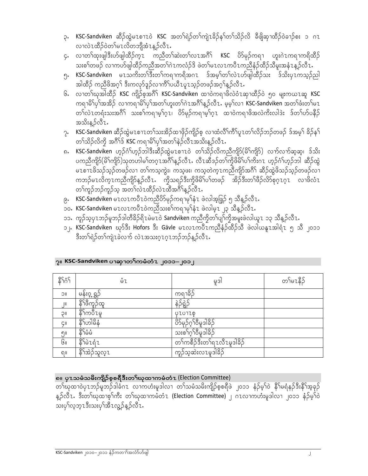- ၃. KSC-Sandviken ဆီဉ်ထွဲမ႗စ႑ာဎဲ KSC အတ<sup>ြ</sup>ရဲဉ်တၢ်ကျဲ႗ခိဉ်န႑်တ႑်သိဉ်လိ ခ်ီဖျိဆု႑ထိဉ်ဝဲခ႑ဉ်စး ၁ ဂ႗ လၢလဲၤထိဉ်ဝဲတၢ်မၤလိတဘျီအံၤန္ ဉ်လီၤ.
- ၄. လၢတ<sup>5ု</sup>ထုးဖျါဒီးဟ်ဖျါထိဉ်က္1 ကညီတ<sup>5ု</sup>ဆဲးတ<sup>5ု</sup>လ1အဂိီ<sup>5</sup> KSC ဟိ9ုဉ်ကရ1 ဟူးဂဲ1ကရ1ကရိထိဉ် သးစၢ်တဖဉ် လၢကဟ်ဖျါထိဉ်ကညီအတၢ်ဂဲၤကလံဉ်ဒိ ဖဲတၢ်မၤလၤကပီၤကညီနံဉ်ထိဉ်သိမူးအနံၤန္ဥ်လီၤ.
- ၅ု KSC-Sandviken မၤသကိႏတၫ်ဒီးတၫ်ကရၫကရိအဂၤ ဒ်အမ္႑်တ႑်လဲၤဟ်ဖျါထိဉ်သး ဒ်သိႏပုၤကသ္ဥာ်ညါ အါထိဉ် ကညီဖိအဂ္ဂါ ဒီးကလုာ်ဒူဉ်လၢကိၢိပယီ႑ပူ1သူဉ်တဖဉ်အဂ္ဂါနူဉ်လီ1.
- ၆. လၢတ<sup>5ု</sup>ဃုအါထိဉ် KSC ကျိဉ်စ့အဂိီ<sup>5</sup> KSC-Sandviken ထၢဝဲကရၢဖိလဲဝံၤဆုၫထိဉ်ဝဲ ၅၀ မျးကယၤဆူ KSC ကရ<sup>ှ</sup>မိ်ုပု<sup>ှ</sup>အအိဉ် လၢကရှ၊မိ်ုပုှ<sup>င်</sup>အတ<sup>ှ်</sup>ဟူးတ<sup>ှ်</sup>ဂဲၤအဂိ်္ဂန္ ဉ်လီၤ. မ့မ့္ပ်လၢ KSC-Sandviken အတ<sup>ှ</sup>ဖုံးတ<sup>ှ</sup>မၤ တၫ်လဲၤတရံးသးအဂိ်္ဂ် သးစၫ်ကရၫမ့္ပ်ဂ္ၤ၊ ဟိခ်ုဉ်ကရ႑မ့္ပ်ဂ္ၤ ထ႑၀ဲကရ႑ဖိအလဲကိုးလါဒဲး ဒ်တ႑်ဟ်ပနိဉ် အသိးနဉ်လီၤ.
- ၇. KSC-Sandviken ဆီဉ်ထွဲမၤစၫၤတၫ်သးအိဉ်ထၢဖိုဉ်ကျိဉ်စ့ လၢထံလိ်ၢကိဵျပု႑တၢ်လိဉ်ဘဉ်တဖဉ် ဒ်အမ့ၢ် ခိဉ်န႑် တၫ်သိဉ်လိကို အဂိ်ၢဒ် KSC ကရၫမိၢိပုၢ်အတၢ်နဲ့ဉ်လီၤအသိးန္ ဉ်လီၤ.
- ၈. KSC-Sandviken ဟွဉ်င်္ဂါဟွဉ်ဘါဒီးဆီဉ်ထွဲမၤစၫၤဝဲ တၫ်သိဉ်လိကညီကျိဂ် $($ မိ်၊ကျိဂ်) လက်လက်ဆ့ဆ့၊ ဒ်သိး ပကညီကျိ $\delta$ (မိ<sup>ု</sup>ကျိ $\delta$ )သုတဟါမ<sup>ှ</sup>တဂုၤအဂိၢန္ ဉ်လီၤႉ လီၤဆီဒဉ်တၢ်ကွိဖိမိၤ်ပၤ်ကိႏဂၤ ဟုဉ်ဂံၤ်ဟုဉ်ဘါ ဆီဉ်ထွဲ မၤစၢၤဖိသဉ်သှဉ်တဖဉ်လၢ တၢ်ကသ့ကွဲး၊ ကသ့ဖး၊ ကသ့တဲက္ၤကညီကျိာ်အဂိၢ် ဆီဉ်ထွဲဖိသဉ်သှဉ်တဖဉ်လၢ ကဘဉ်မၤလိက္1ကညီကျိာ်န္ဥာ်လီ1. ကွိသရဥ်ဒီးကွိဖိမိ်ၤပၤ်တဖဉ် အိဥ်ဒီးတၤ်ဖီဥ်လိာ်စုဂူ1ဂူ1 လၢဖိလံ1 တၢ်ကူဉ်ဘဉ်ကူဉ်သူ အတၢ်လဲၤထီဉ်လဲၤထီအဂိၢ်န္ဥာ်လီၤ.
- ၉့ KSC-Sandviken မၤလၤကပီၤဝဲကညီပိဉ်မှဉ်ကရาမှ<sup>ြ</sup>နံၤ ဖဲလါအ့ဖြှဉ် ၅ သီန္ဉ်လီၤ.
- ၁၀، KSC-Sandviken မၤလၤကပီၤဝဲကညီသးစၢ်ကရၫမုနံံၤ ဖဲလါမ့ၤ ၂၃ သီန္ဥာ်လီၤ.
- ၁၁。ကူဉ်သူပု1ဘဉ်မူဘဉ်ဒါတီိခိုဉ်ရိ1မဲမ1၀ဲ Sandviken ကညီကွိတ႑်ပျာ်ကွိအမူးဖဲလါယူ1 ၁၃ သီနူဉ်လီ1。
- ၁၂ KSC-Sandviken ဃုာ်ဒီး Hofors ဒီး Gävle မၤလၤကပီၤကညီနံဉ်ထိဉ်သိ ဖဲလါယနူၤအါရံၤ ၅ သိ ၂၀၁၁ ဒီးတၢ်ရဲဉ်တၢ်ကျဲၤခဲလက် လဲၤအသးဂ္ၤဂ္ၤဘဉ်ဘဉ်န္ဉာ်လီၤ $\cdot$

| နိ7့လ်                               | ůι                               | မှဒါ                            | တ်မားနိဉ် |
|--------------------------------------|----------------------------------|---------------------------------|-----------|
| $\overline{\overline{\overline{C}}}$ | <u>မန်း၀့ ရွှ</u> ဉ်             | ကရာဓိဉ်                         |           |
| $\vert \vert$                        | <u>န်<sup>ဒို</sup>ဖီ</u> ကူဉ်ထူ | န်ဉ်ီရွဲဉ်                      |           |
| IIC                                  | နိ <sup>ု</sup> ကပီၤမှု          | <b>OLOTLO</b>                   |           |
| ÇII                                  | နိ <sup>ု</sup> ကါမိနံ           | ပိဉ်မှဉ်ဂုၢ်ဝီမှုဒါနိဉ်         |           |
| ၅။                                   | န်ိဳးမိမိ                        | သးစ <sup>ှ</sup> ုံးဝီမှုဒါခိဉ် |           |
| GII                                  | ริโอนด์น                         | တၢ်ကစီဉ်ဒီးတၢ်ရၤလီၤမူဒါခိဉ်     |           |
| வ                                    | ္ခ်ိဳ <sup>င္</sup> အဲ့ဉ်သူလ္1   | ကူဉ်သ့ဆဲးလၤမှုဒါခိဉ်            |           |

#### ှ။ KSC-Sandviken ပၫဆုၫတ<sup>ရ</sup>ကမံတံၤ ၂၀၁၁–၂၀၁၂

### ၈။ ပု႑သမံသမိးကျိဉ်စုစရီဒီးတ<sup>5</sup>ုဃုထၢကမံတံ႑ (Election Committee)

တၢ်ဃုထၢဝဲပုၤဘဉ်မူဘဉ်ဒါခံဂၤ လၢကဟံးမူဒါလ႑ တၢ်သမံသမိးကျိဉ်စ့စရီဖဲ ၂၀၁၁ နံဉ်မ့ၢ်ဝဲ နိ<sup>၎</sup>မရံနဉ်ဒီးနိ<sup>ု</sup>အ့ခုဉ် န္ဥ်လီၤ. ဒီးတ<sup>န</sup>ယုထၢစ့<sup>န</sup>က်ိဳး တ<sup>န္</sup>ယုထၢကမံတံၤ (Election Committee) ၂ ဂၤလၢကဟံးမှုဒါလၢ ၂၀၁၁ နံဥ်မ့<sup>န</sup>ဝဲ သးပုါလ့ဘ့ၤဒီးသးပုါအီၤလွ့ဉ်န့ဉ်လီၤ.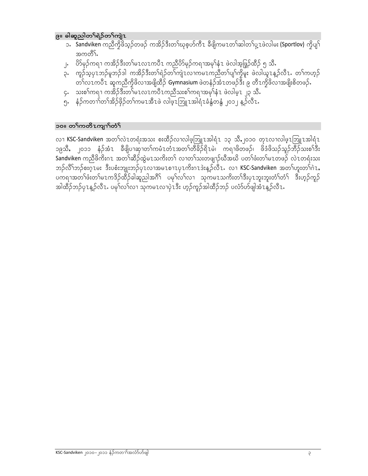### ၉။ ခါဆူညါတ႑်ရဲဉ်တ႑်ကျဲၤ

- ား Sandviken ကညီကွိဖိသူဉ်တဖဉ် ကအိဉ်ဒီးတ<sup>န်</sup>ဃုစ့ဟ်ကီၤ ခီဖျိကမၤတ<sup>န်</sup>ဆါတ<sup>န်</sup>ပုံ့ၤဖဲလါမး (Sportlov) ကွိပျ<sup>န်</sup> အကတိ1်
- ု၊ တိမှဉ်ကရ႑ ကအိဉ်ဒီးတ႑်မၤလၤကပီၤ ကညီပိဉ်မှဉ်ကရၫအမှၤ်နံ႑ ဖဲလါအဖြှဉ်ထိဉ် ၅ သီ.
- ၃. ကူဉ်သူပုၤဘဉ်မူဘဉ်ဒါ ကအိဉ်ဒီးတၢ်ရဲဉ်တၢ်ကျဲၤလၢကမၤကညီတၢ်ပျာ်ကွိမူး ဖဲလါယူၤန္ဥ်လီၤႉ တၢ်ကဟူဉ် တ်လၤကပီၤ ဆူကညီကိုဖိလၢအဖျိထိဉ် Gymnasium ဖဲတနံဉ်အံၤတဖဉ်ဒီး ၉ တီၤကိုဖိလၢအဖျိးစိတဖဉ်ႉ
- ၄<sub>• </sub> သးစ<sup>ှ</sup>ကရၫ ကအိဉ်ဒီးတ<sup>5်</sup>မၤလၤကပီၤကညီသးစ<sup>ှ</sup>ကရၫအမု<sup>ှ</sup>နံၤ ဖဲလါမ့ၤ ၂၃ သီ.
- ှ<br>၅. နံဉ်ကတၢၤ်တၤ်အိဉ်ဖိုဉ်တၤ်ကမၤအီၤဖဲ လါဖူၤဘြူၤအါရံၤခံနွံတနွံ ၂၀၁၂ န့ဉ်လီၤ.

### ၁၀။ တ<sup>ှ</sup>ကတိၤကျၢာ်တံ<sup>၎</sup>

လၫ KSC-Sandviken အတ<sup>5</sup>လဲၤတရံးအသး စးထိဉ်လၫလါဖူဘြူၤအါရံၤ ၁၃ သိ,၂၀၁၀ တုၤလၢလါဖူၤဘြူၤအါရံၤ ၁၉သီ, ၂၀၁၁ နံဉ်အံၤ ခ်ီဖျိပၢဆုၫတ႑်ကမံၤတံၤအတ႑်တီခိဉ်ရိၤမဲ၊ ကရၫဖိတဖဉ်၊ ဖိဒံဖိသဉ်သူဉ်ဘီဉ်သးစ႑်ဒီး Sandviken ကညီဖိုက်းဂၤ အတ္ဂ်ာဆီဉ်ထွဲမzသကိႏတ႑် လၢတ႑်သးတဖျာဉ်ဃီအဃိ ပတ႑်ဖီးတ႑်မzတဖဉ် လဲzတရုံးသး ဘဉ်လိ<sup>ု</sup>ဘဉ်စးဂူၤမး ဒီးပစံးဘျုးဘဉ်ပုၤလၢအမၤစၢၤပုၤကိႏဂၤဒဲးန္ဥ်လီၤႉ လၢ KSC-Sandviken အတ<sup>ြု</sup>ဟူးတ<sup>ြ</sup>ဂဲၤ, ့<br>ပကၡၫအတၫ်ဖီးတၫ်မ႑ကဒိဉ်ထိဉ်ခါဆူညါအဂိ်ၫ ပမုၫ်လ႑်လ႑ သုကမ႑သကိႏတ႑်ဒီးပု႑ဘူးဘူးတံ႑်တံ႑် ဒီးဟူဉ်ကူဉ် အါထိဉ်ဘဉ်ပု႑န္ဥာ်လီ႑ႉ ပမုၢ်လၢ်လ႑ သုကမ႑လ႑ပုဲ႑ဒီး ဟူဉ်ကူဉ်အါထိဉ်ဘဉ် ပလံာ်ဟ်ဖျါအံ႑န္ဥာ်လီ႑ႉ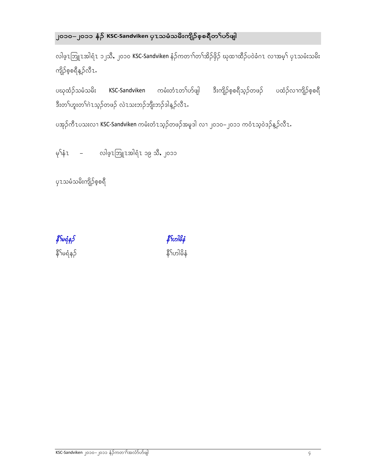# ၂၀၁၀—၂၀၁၁ နံ**ဉ် KSC-Sandviken** ပုၤသမံံသမိးကျိဉ်စ့စရိတ<sup>5</sup>ုဟ်ဖျါ

လါဖ့ၤဘြူၤအါရံၤ ၁၂သီ,၂၀၁၀ KSC-Sandviken နံဉ်ကတၢၢ်တၢ်အိဉ်ဖိုဉ် ဃုထၢထီဉ်ပဝဲခံဂၤ လၢအမ့<sup>၎</sup> ပုၤသမံးသမိး ကျိဉ်စ့စရီနှဉ်လီၤ.

ပဃုထံဉ်သမံသမိး KSC‐Sandviken ကမံးတံၤတၫ်ဟ်ဖျါ ဒီးကျိဉ်စ့စရီသ့ဉ်တဖဉ် ပထံဉ်လၢကျိဉ်စ့စရီ ဒီးတ<sup>ှ</sup>ုဟူးတ<sup>ှ</sup>ကဲၤသ့ဉ်တဖဉ် လဲၤသးဘဉ်ဘျီးဘဉ်ဒါန့ဉ်လီၤ $\cdot$ 

ပအုဉ်ကီ $\tau$ ပသးလ႑ <code>KSC-Sandviken</code> ကမံးတံ $\tau$ သ့ဉ်တဖဉ်အမူဒါ လ႑၂၀၁၀ $-$ ၂၀၁၁ ကဝံ $\tau$ သ့ဝဲဒဉ်န့ဉ်လီ $\tau$ .

မှ<sup>ြ</sup>နံၤ – လါဖ့ၤဩူၤအါရံၤ ၁၉ သိ, ၂၀၁၁

ပု1သမံသမိးကျိဉ်စ့စရီ

နိ $\hat{f}$ မရံန $\hat{f}$ နိ $\hat{\tilde{\mathsf{s}}}$ ်မရံနဉ် $\hat{\tilde{\mathsf{s}}}$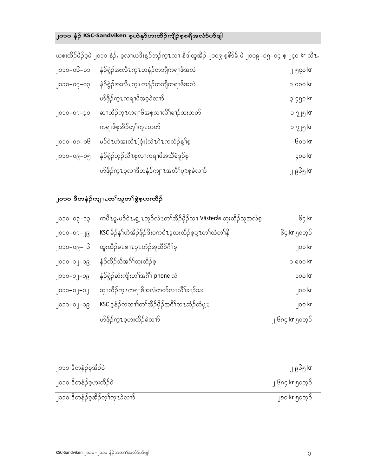# ၂၀၁၀ နံဉ<mark>် KSC-Sandviken</mark> စ့ဟဲနု<sub>ဝ</sub>်ဟးထိဉ်ကျိဉ်စ့စရီအလံာ်ဟ်ဖျါ

|                | ယစးထံဉ်ဖံဉ်စုဖ ၂၀၁၀ နဉ်ႉ စ့လၢယဒ်းန့္ဉ်ဘဉ်က္1လၢ နံဒါထူအိဉ် ၂၀၀၉ စ့စ်ာခံ ဖ ၂၀၀၉–၀၅–၀၄ စ့ ၂၄၀ kr လံ1. |                      |
|----------------|----------------------------------------------------------------------------------------------------|----------------------|
| ၂၀၁၀–၀၆–၁၁     | နဲဉ်ရဲဉ်အးလီၤက္ၤတနံဉ်တဘျီကရၢဖိအလဲ                                                                  | ၂ ၅၄၀ kr             |
| $90 - 65 - 65$ | နဲဉ်ရွဲဉ်အးလီၤက္ၤတနံဉ်တဘျီကရၢဖိအလဲ                                                                 | p ooo kr             |
|                | ပာ်ဖှိဉ်က္1ကရၫဖိအစ့ခဲလက်                                                                           | ၃ ၄၅၀ kr             |
| ၂၀၁၀–၀၇–၃၀     | ဆှၫထိဉ်က္1ကရၫဖိအစ့လၫလိ်ၤ်ခၫဉ်သးတတ်                                                                 | ວ <sub>ໃ</sub> ၂၅ kr |
|                | ကရၫဖိစ့အိဉ်တ့ၢ်က္٦တတ်                                                                              | ວ ၇၂၅ kr             |
| ၂၀၁၀–၀၈–၀၆     | မဉ်ငဲၤဟဲအးလီၤ(ဒုံး)လဲၤဂဲၤကလံဉ်န္ ်စ့                                                               | Goo kr               |
| ၂၀၁၀–၀၉–၀၅     | နဲဉ်ရွဲဉ်ဟုဉ်လီ႑စ့လၢကရၢဖိအသီခံဒူဉ်စ့                                                               | çoo kr               |
|                | <u>ပြာ်ဖိုဉ်က</u> ူးစ့လၢဒီတနံဉ်ကျၤာအတိ်ၤပူးစ့ခဲလက်                                                 | ၂ ၉၆၅ kr             |

ယစးထိဉ်ဖီဉ်စ့ဖဲ ၂၀၁၀ နံဉ်. စ့လၢယဒိးန့ဉ်ဘဉ်က့ၤလၢ နီဒါထူအိဉ် ၂၀၀၉ စ့စိ႒်ခ်ီ ဖဲ ၂၀၀၉–၀၅–၀၄ စ့ ၂၄၀ kr လီၤ.

## ၂၀၁၀ ဒီတနံဉ်ကျၢၤတ<sup>ြ</sup>သူတ<sup>ြ</sup>စွဲစ့ဟးထိဉ်

| ါ၀၁၀–၀၁–၁၁         | ကပီၤမူႇမဉ်ငဲၤႇစ္မွ့ ၤဘူဉ်လဲၤတၢ်အိဉ်ဖိုဉ်လၢ Västerås ထုးထိဉ်သူအလဲစ့                          | ၆၄ kr           |
|--------------------|---------------------------------------------------------------------------------------------|-----------------|
| ၂၀၁၀–၀၇–၂ <u>၉</u> | KSC ခိဉ်န <sup>ှ</sup> ဟဲအိဉ်ဖိုဉ်ဒီးပကဝီၤဒ့ထုးထိဉ်စ့ပှ့႑တ <sup>ှ</sup> ထံတ <sup>ှ</sup> နိ | ၆၄ kr ၅၀ဘ့ဉ်    |
| ၂၀၁၀–၀၉–၂၆         | ထူးထိဉ်မ႗စၫ႗ၦ႗ဟံဉ်အူထိဉ်ဂိၢ်စ့                                                              | goo kr          |
| ၂၀၁၀–၁၂–၁၉         | နံဉ်ထိဉ်သီအင်္ဂါထုးထိဉ်စ့                                                                   | ວ ໑໐໐ kr        |
| ၂၀၁၀–၁၂–၁၉         | နဲဉ်ရွဲဉ်ဆဲးကျိုးတ <sup>ြ</sup> အဂီ <sup>၎</sup> phone လဲ                                   | poo kr          |
| ၂၀၁၁–၀၂–၁၂         | ဆုၫထိဉ်က္1ကရၫဖိအလဲတတ်လၢလိႝၤ်ခၢဉ်သး                                                          | ၂၀၀ kr          |
| ၂၀၁၁–၀၂–၁၉         | KSC ဒုနံဉ်ကတၢ <sup>ို</sup> တ <sup>ှ</sup> အိဉ်ဖှိဉ်အဂိ်္ဂါတၤဆံဉ်ထံပှု1                     | goo kr          |
|                    | ပာ်ဖှိဉ်က္1စ့ဟးထိဉ်ခဲလက်                                                                    | ၂ ၆၈၄ kr ၅၀ဘ့ဉ် |

| ၂၀၁၀ ဒီတနံဉ်စ့အိဉ်ဝဲ             | ၂ ၉၆၅ kr        |
|----------------------------------|-----------------|
| ၂၀၁၀ ဒီတနံဉ်စ့ဟးထိဉ်ဝဲ           | ၂ ၆၈၄ kr ၅၀ဘုဉ် |
| ၂၀၁၀ ဒီတနံ့ဉ်စုအိဉ်တ့ၢ်က္ ၤခဲလက် | ၂၈၀ kr ၅၀ဘ္ဝ    |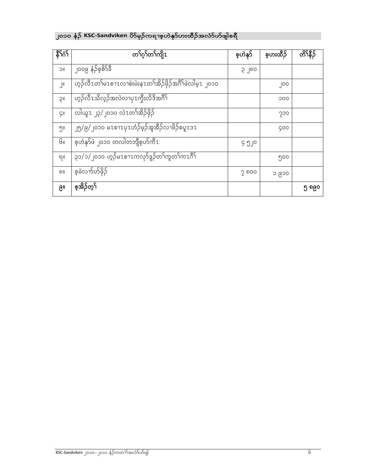# ၂၀၁၀ နံ**ဉ် KSC-Sandviken** ဟိမုဉ်ကရၢစ့ဟဲနု<sub></sub>ဝ်ဟးထိဉ်အလံာ်ဟ်ဖျါစရီ

| နိ <sup>ု</sup> ဂံ | တ႑်ဂ္႑်တ႑်ကျိၤ                                         | စ့ဟဲနၵ် | စ့ပားထိဉ် | တိၤနိ5ိ |
|--------------------|--------------------------------------------------------|---------|-----------|---------|
| <b>IIC</b>         | ၂၀၀၉ နံဉိစ <u>့စိ</u> 5်ခ်ီ                            | ၃၂၈၀    |           |         |
| J۱۱                | ဟုဉ်လီၤတၢ်မၤစၫၤလၢစဲးမဲးနၤတၢ်အိဉ်ဖှိဉ်အဂိၢ်ဖဲလါမ့ၤ ၂၀၁၀ |         | ၂၀၀       |         |
| 1IÇ                | ဟုဉ်လီၤသိလ့ဉ်အလဲလၢပှၤကွီးလိဒိအဂိ်ၢ်                    |         | 000       |         |
| $\zeta$ II         | လါယူ႗ ၂၃/၂၀၁၀ လဲ႗တ႑်အိဉ်ဖိုဉ်                          |         | ၇၁၀       |         |
| ၅။                 | ၂၅/၉/၂၀၁၀ မၤစၫၤပုၤဟံဉ်မှဉ်အူအီဉ်လၢဖိဉ်စပူၤဒၤ           |         | 900       |         |
| Gı                 | စ့ဟဲနဂ်ဖဲ ၂၀၁၀ တလါတဘျီစ့ဟ်ကီၤ                          | ၄ ၅၂၀   |           |         |
| ရ။                 | ၃၁/၁/၂၀၁၀ ဟ့ဉ်မၤစၢၤကလုာ်ဒူဉ်တၢ်ကူတၢ်ကၤဂိၢ်             |         | ၅၀၀       |         |
| ၈။                 | စ့ခဲလက်ဟ်ဖိုဉ်                                         | ၇ ၈၀၀   | ၁ ၉၁၀     |         |
| ၉။                 | စ့အိဉ်တ့်                                              |         |           | ၅ ၈၉၀   |